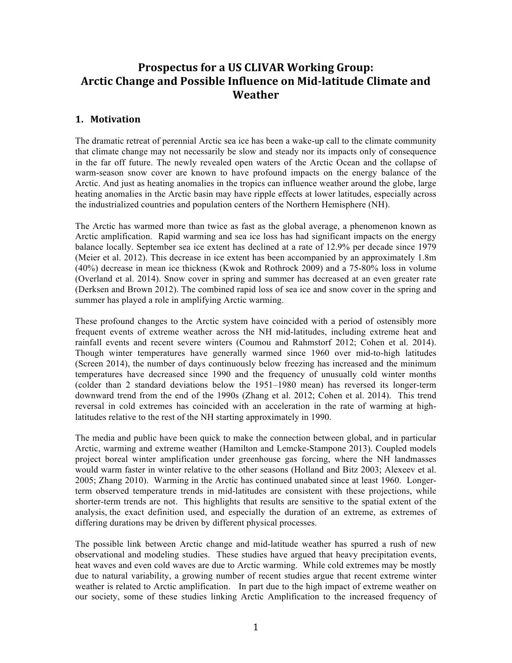# **Prospectus for a US CLIVAR Working Group: Arctic Change and Possible Influence on Mid-latitude Climate and Weather**

## **1. Motivation**

The dramatic retreat of perennial Arctic sea ice has been a wake-up call to the climate community that climate change may not necessarily be slow and steady nor its impacts only of consequence in the far off future. The newly revealed open waters of the Arctic Ocean and the collapse of warm-season snow cover are known to have profound impacts on the energy balance of the Arctic. And just as heating anomalies in the tropics can influence weather around the globe, large heating anomalies in the Arctic basin may have ripple effects at lower latitudes, especially across the industrialized countries and population centers of the Northern Hemisphere (NH).

The Arctic has warmed more than twice as fast as the global average, a phenomenon known as Arctic amplification. Rapid warming and sea ice loss has had significant impacts on the energy balance locally. September sea ice extent has declined at a rate of 12.9% per decade since 1979 (Meier et al. 2012). This decrease in ice extent has been accompanied by an approximately 1.8m (40%) decrease in mean ice thickness (Kwok and Rothrock 2009) and a 75-80% loss in volume (Overland et al. 2014). Snow cover in spring and summer has decreased at an even greater rate (Derksen and Brown 2012). The combined rapid loss of sea ice and snow cover in the spring and summer has played a role in amplifying Arctic warming.

These profound changes to the Arctic system have coincided with a period of ostensibly more frequent events of extreme weather across the NH mid-latitudes, including extreme heat and rainfall events and recent severe winters (Coumou and Rahmstorf 2012; Cohen et al. 2014). Though winter temperatures have generally warmed since 1960 over mid-to-high latitudes (Screen 2014), the number of days continuously below freezing has increased and the minimum temperatures have decreased since 1990 and the frequency of unusually cold winter months (colder than 2 standard deviations below the 1951–1980 mean) has reversed its longer-term downward trend from the end of the 1990s (Zhang et al. 2012; Cohen et al. 2014). This trend reversal in cold extremes has coincided with an acceleration in the rate of warming at highlatitudes relative to the rest of the NH starting approximately in 1990.

The media and public have been quick to make the connection between global, and in particular Arctic, warming and extreme weather (Hamilton and Lemcke-Stampone 2013). Coupled models project boreal winter amplification under greenhouse gas forcing, where the NH landmasses would warm faster in winter relative to the other seasons (Holland and Bitz 2003; Alexeev et al. 2005; Zhang 2010). Warming in the Arctic has continued unabated since at least 1960. Longerterm observed temperature trends in mid-latitudes are consistent with these projections, while shorter-term trends are not. This highlights that results are sensitive to the spatial extent of the analysis, the exact definition used, and especially the duration of an extreme, as extremes of differing durations may be driven by different physical processes.

The possible link between Arctic change and mid-latitude weather has spurred a rush of new observational and modeling studies. These studies have argued that heavy precipitation events, heat waves and even cold waves are due to Arctic warming. While cold extremes may be mostly due to natural variability, a growing number of recent studies argue that recent extreme winter weather is related to Arctic amplification. In part due to the high impact of extreme weather on our society, some of these studies linking Arctic Amplification to the increased frequency of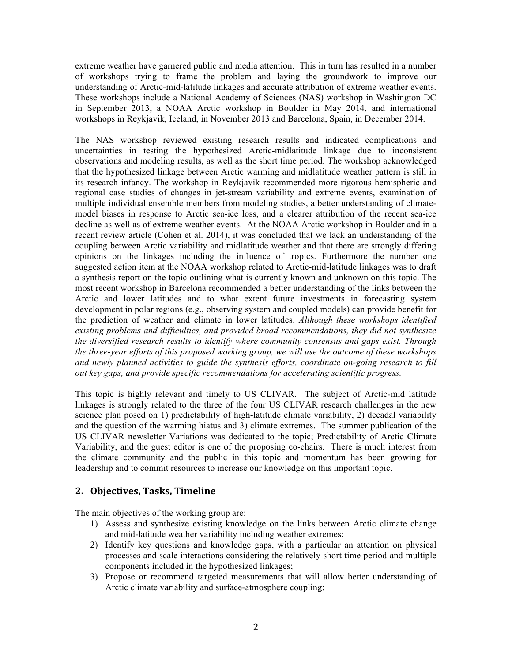extreme weather have garnered public and media attention. This in turn has resulted in a number of workshops trying to frame the problem and laying the groundwork to improve our understanding of Arctic-mid-latitude linkages and accurate attribution of extreme weather events. These workshops include a National Academy of Sciences (NAS) workshop in Washington DC in September 2013, a NOAA Arctic workshop in Boulder in May 2014, and international workshops in Reykjavik, Iceland, in November 2013 and Barcelona, Spain, in December 2014.

The NAS workshop reviewed existing research results and indicated complications and uncertainties in testing the hypothesized Arctic-midlatitude linkage due to inconsistent observations and modeling results, as well as the short time period. The workshop acknowledged that the hypothesized linkage between Arctic warming and midlatitude weather pattern is still in its research infancy. The workshop in Reykjavik recommended more rigorous hemispheric and regional case studies of changes in jet-stream variability and extreme events, examination of multiple individual ensemble members from modeling studies, a better understanding of climatemodel biases in response to Arctic sea-ice loss, and a clearer attribution of the recent sea-ice decline as well as of extreme weather events. At the NOAA Arctic workshop in Boulder and in a recent review article (Cohen et al. 2014), it was concluded that we lack an understanding of the coupling between Arctic variability and midlatitude weather and that there are strongly differing opinions on the linkages including the influence of tropics. Furthermore the number one suggested action item at the NOAA workshop related to Arctic-mid-latitude linkages was to draft a synthesis report on the topic outlining what is currently known and unknown on this topic. The most recent workshop in Barcelona recommended a better understanding of the links between the Arctic and lower latitudes and to what extent future investments in forecasting system development in polar regions (e.g., observing system and coupled models) can provide benefit for the prediction of weather and climate in lower latitudes. *Although these workshops identified existing problems and difficulties, and provided broad recommendations, they did not synthesize the diversified research results to identify where community consensus and gaps exist. Through the three-year efforts of this proposed working group, we will use the outcome of these workshops and newly planned activities to guide the synthesis efforts, coordinate on-going research to fill out key gaps, and provide specific recommendations for accelerating scientific progress.*

This topic is highly relevant and timely to US CLIVAR. The subject of Arctic-mid latitude linkages is strongly related to the three of the four US CLIVAR research challenges in the new science plan posed on 1) predictability of high-latitude climate variability, 2) decadal variability and the question of the warming hiatus and 3) climate extremes. The summer publication of the US CLIVAR newsletter Variations was dedicated to the topic; Predictability of Arctic Climate Variability, and the guest editor is one of the proposing co-chairs. There is much interest from the climate community and the public in this topic and momentum has been growing for leadership and to commit resources to increase our knowledge on this important topic.

# **2. Objectives,\*Tasks, Timeline**

The main objectives of the working group are:

- 1) Assess and synthesize existing knowledge on the links between Arctic climate change and mid-latitude weather variability including weather extremes;
- 2) Identify key questions and knowledge gaps, with a particular an attention on physical processes and scale interactions considering the relatively short time period and multiple components included in the hypothesized linkages;
- 3) Propose or recommend targeted measurements that will allow better understanding of Arctic climate variability and surface-atmosphere coupling;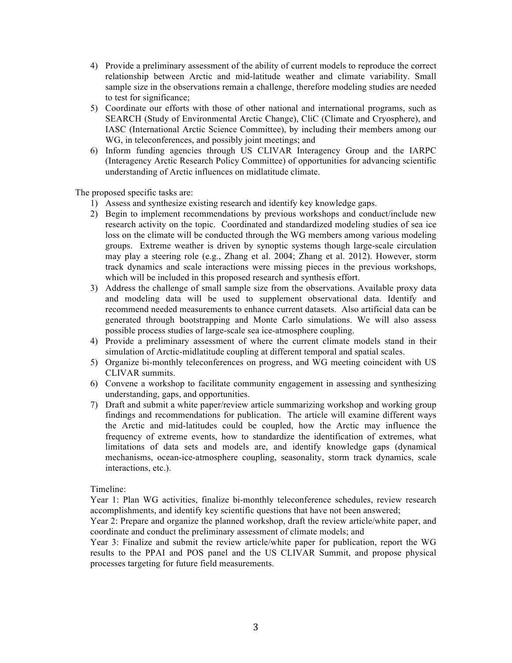- 4) Provide a preliminary assessment of the ability of current models to reproduce the correct relationship between Arctic and mid-latitude weather and climate variability. Small sample size in the observations remain a challenge, therefore modeling studies are needed to test for significance;
- 5) Coordinate our efforts with those of other national and international programs, such as SEARCH (Study of Environmental Arctic Change), CliC (Climate and Cryosphere), and IASC (International Arctic Science Committee), by including their members among our WG, in teleconferences, and possibly joint meetings; and
- 6) Inform funding agencies through US CLIVAR Interagency Group and the IARPC (Interagency Arctic Research Policy Committee) of opportunities for advancing scientific understanding of Arctic influences on midlatitude climate.

The proposed specific tasks are:

- 1) Assess and synthesize existing research and identify key knowledge gaps.
- 2) Begin to implement recommendations by previous workshops and conduct/include new research activity on the topic. Coordinated and standardized modeling studies of sea ice loss on the climate will be conducted through the WG members among various modeling groups. Extreme weather is driven by synoptic systems though large-scale circulation may play a steering role (e.g., Zhang et al. 2004; Zhang et al. 2012). However, storm track dynamics and scale interactions were missing pieces in the previous workshops, which will be included in this proposed research and synthesis effort.
- 3) Address the challenge of small sample size from the observations. Available proxy data and modeling data will be used to supplement observational data. Identify and recommend needed measurements to enhance current datasets. Also artificial data can be generated through bootstrapping and Monte Carlo simulations. We will also assess possible process studies of large-scale sea ice-atmosphere coupling.
- 4) Provide a preliminary assessment of where the current climate models stand in their simulation of Arctic-midlatitude coupling at different temporal and spatial scales.
- 5) Organize bi-monthly teleconferences on progress, and WG meeting coincident with US CLIVAR summits.
- 6) Convene a workshop to facilitate community engagement in assessing and synthesizing understanding, gaps, and opportunities.
- 7) Draft and submit a white paper/review article summarizing workshop and working group findings and recommendations for publication. The article will examine different ways the Arctic and mid-latitudes could be coupled, how the Arctic may influence the frequency of extreme events, how to standardize the identification of extremes, what limitations of data sets and models are, and identify knowledge gaps (dynamical mechanisms, ocean-ice-atmosphere coupling, seasonality, storm track dynamics, scale interactions, etc.).

#### Timeline:

Year 1: Plan WG activities, finalize bi-monthly teleconference schedules, review research accomplishments, and identify key scientific questions that have not been answered;

Year 2: Prepare and organize the planned workshop, draft the review article/white paper, and coordinate and conduct the preliminary assessment of climate models; and

Year 3: Finalize and submit the review article/white paper for publication, report the WG results to the PPAI and POS panel and the US CLIVAR Summit, and propose physical processes targeting for future field measurements.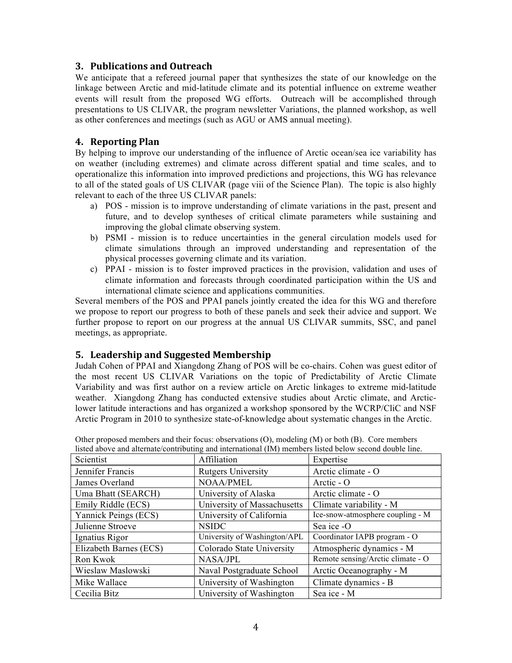## **3. Publications\*and\*Outreach**

We anticipate that a refereed journal paper that synthesizes the state of our knowledge on the linkage between Arctic and mid-latitude climate and its potential influence on extreme weather events will result from the proposed WG efforts. Outreach will be accomplished through presentations to US CLIVAR, the program newsletter Variations, the planned workshop, as well as other conferences and meetings (such as AGU or AMS annual meeting).

## **4. Reporting\*Plan**

By helping to improve our understanding of the influence of Arctic ocean/sea ice variability has on weather (including extremes) and climate across different spatial and time scales, and to operationalize this information into improved predictions and projections, this WG has relevance to all of the stated goals of US CLIVAR (page viii of the Science Plan). The topic is also highly relevant to each of the three US CLIVAR panels:

- a) POS mission is to improve understanding of climate variations in the past, present and future, and to develop syntheses of critical climate parameters while sustaining and improving the global climate observing system.
- b) PSMI mission is to reduce uncertainties in the general circulation models used for climate simulations through an improved understanding and representation of the physical processes governing climate and its variation.
- c) PPAI mission is to foster improved practices in the provision, validation and uses of climate information and forecasts through coordinated participation within the US and international climate science and applications communities.

Several members of the POS and PPAI panels jointly created the idea for this WG and therefore we propose to report our progress to both of these panels and seek their advice and support. We further propose to report on our progress at the annual US CLIVAR summits, SSC, and panel meetings, as appropriate.

## **5.** Leadership and Suggested Membership

Judah Cohen of PPAI and Xiangdong Zhang of POS will be co-chairs. Cohen was guest editor of the most recent US CLIVAR Variations on the topic of Predictability of Arctic Climate Variability and was first author on a review article on Arctic linkages to extreme mid-latitude weather. Xiangdong Zhang has conducted extensive studies about Arctic climate, and Arcticlower latitude interactions and has organized a workshop sponsored by the WCRP/CliC and NSF Arctic Program in 2010 to synthesize state-of-knowledge about systematic changes in the Arctic.

| Scientist              | Affiliation                  | Expertise                         |
|------------------------|------------------------------|-----------------------------------|
| Jennifer Francis       | <b>Rutgers University</b>    | Arctic climate - O                |
| James Overland         | <b>NOAA/PMEL</b>             | Arctic $\sim$ O                   |
| Uma Bhatt (SEARCH)     | University of Alaska         | Arctic climate - O                |
| Emily Riddle (ECS)     | University of Massachusetts  | Climate variability - M           |
| Yannick Peings (ECS)   | University of California     | Ice-snow-atmosphere coupling - M  |
| Julienne Stroeve       | <b>NSIDC</b>                 | Sea ice -O                        |
| Ignatius Rigor         | University of Washington/APL | Coordinator IAPB program - O      |
| Elizabeth Barnes (ECS) | Colorado State University    | Atmospheric dynamics - M          |
| Ron Kwok               | NASA/JPL                     | Remote sensing/Arctic climate - O |
| Wieslaw Maslowski      | Naval Postgraduate School    | Arctic Oceanography - M           |
| Mike Wallace           | University of Washington     | Climate dynamics - B              |
| Cecilia Bitz           | University of Washington     | Sea ice - M                       |

Other proposed members and their focus: observations (O), modeling (M) or both (B). Core members listed above and alternate/contributing and international (IM) members listed below second double line.